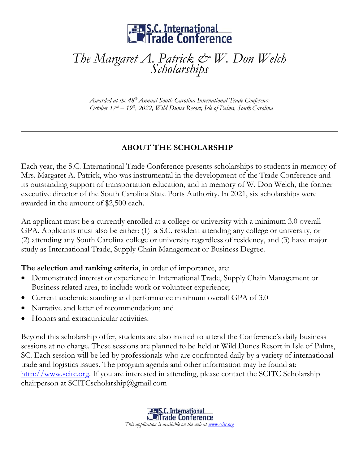

## *The Margaret A. Patrick & W. Don Welch Scholarships*

*Awarded at the 48 th Annual South Carolina International Trade Conference October 17th – 19th , 2022, Wild Dunes Resort, Isle of Palms, SouthCarolina*

## **ABOUT THE SCHOLARSHIP**

Each year, the S.C. International Trade Conference presents scholarships to students in memory of Mrs. Margaret A. Patrick, who was instrumental in the development of the Trade Conference and its outstanding support of transportation education, and in memory of W. Don Welch, the former executive director of the South Carolina State Ports Authority. In 2021, six scholarships were awarded in the amount of \$2,500 each.

An applicant must be a currently enrolled at a college or university with a minimum 3.0 overall GPA. Applicants must also be either: (1) a S.C. resident attending any college or university, or (2) attending any South Carolina college or university regardless of residency, and (3) have major study as International Trade, Supply Chain Management or Business Degree.

**The selection and ranking criteria**, in order of importance, are:

- Demonstrated interest or experience in International Trade, Supply Chain Management or Business related area, to include work or volunteer experience;
- Current academic standing and performance minimum overall GPA of 3.0
- Narrative and letter of recommendation; and
- Honors and extracurricular activities.

Beyond this scholarship offer, students are also invited to attend the Conference's daily business sessions at no charge. These sessions are planned to be held at Wild Dunes Resort in Isle of Palms, SC. Each session will be led by professionals who are confronted daily by a variety of international trade and logistics issues. The program agenda and other information may be found at: [http://www.scitc.org.](http://www.scitc.org/) If you are interested in attending, please contact the SCITC Scholarship chairperson at SCITCscholarship@gmail.com

> **S.C.** International **Alle Conference** *This application is available on the web at [www.scitc.org](http://www.scitc.org/)*